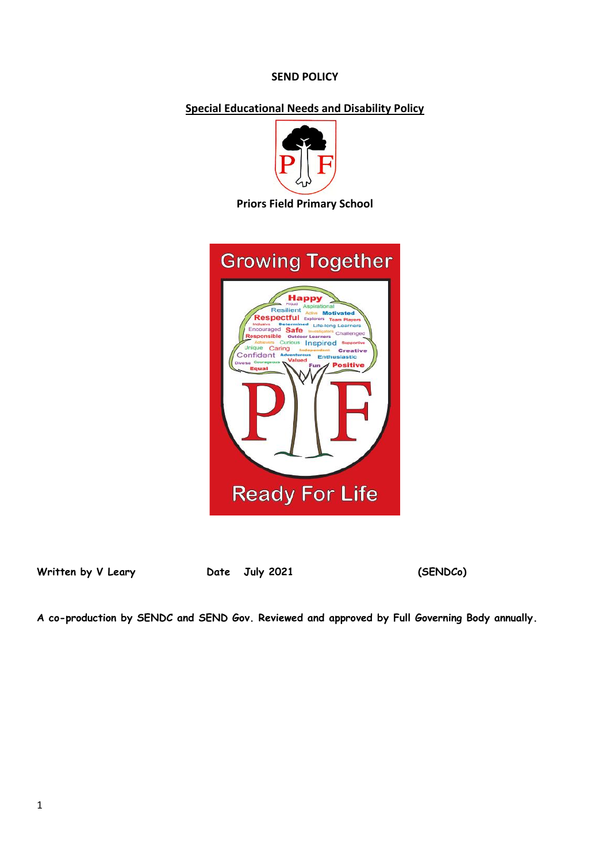## **SEND POLICY**

## **Special Educational Needs and Disability Policy**



#### **Priors Field Primary School**



Written by V Leary **Date** July 2021 (SENDCo)

**A co-production by SENDC and SEND Gov. Reviewed and approved by Full Governing Body annually.**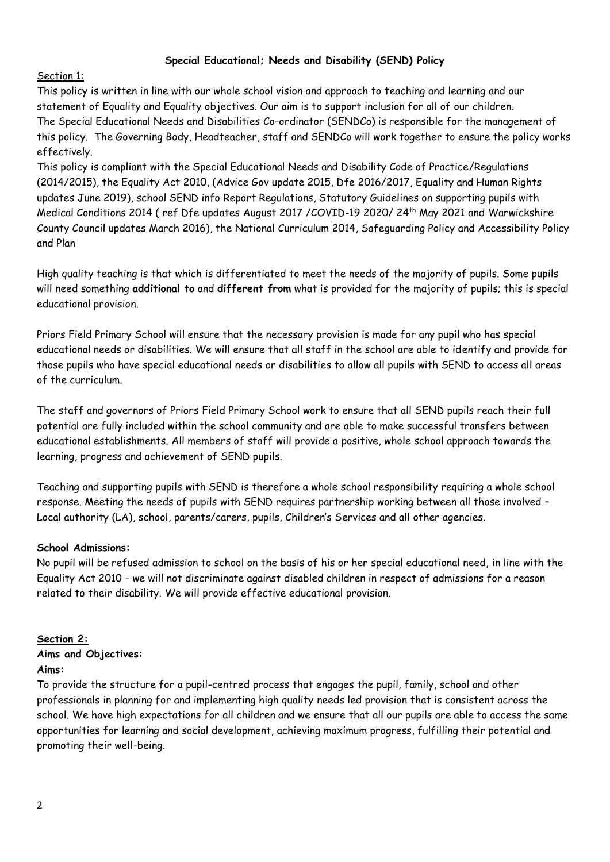## **Special Educational; Needs and Disability (SEND) Policy**

Section 1:

This policy is written in line with our whole school vision and approach to teaching and learning and our statement of Equality and Equality objectives. Our aim is to support inclusion for all of our children. The Special Educational Needs and Disabilities Co-ordinator (SENDCo) is responsible for the management of this policy. The Governing Body, Headteacher, staff and SENDCo will work together to ensure the policy works effectively.

This policy is compliant with the Special Educational Needs and Disability Code of Practice/Regulations (2014/2015), the Equality Act 2010, (Advice Gov update 2015, Dfe 2016/2017, Equality and Human Rights updates June 2019), school SEND info Report Regulations, Statutory Guidelines on supporting pupils with Medical Conditions 2014 (ref Dfe updates August 2017 /COVID-19 2020/ 24<sup>th</sup> May 2021 and Warwickshire County Council updates March 2016), the National Curriculum 2014, Safeguarding Policy and Accessibility Policy and Plan

High quality teaching is that which is differentiated to meet the needs of the majority of pupils. Some pupils will need something **additional to** and **different from** what is provided for the majority of pupils; this is special educational provision.

Priors Field Primary School will ensure that the necessary provision is made for any pupil who has special educational needs or disabilities. We will ensure that all staff in the school are able to identify and provide for those pupils who have special educational needs or disabilities to allow all pupils with SEND to access all areas of the curriculum.

The staff and governors of Priors Field Primary School work to ensure that all SEND pupils reach their full potential are fully included within the school community and are able to make successful transfers between educational establishments. All members of staff will provide a positive, whole school approach towards the learning, progress and achievement of SEND pupils.

Teaching and supporting pupils with SEND is therefore a whole school responsibility requiring a whole school response. Meeting the needs of pupils with SEND requires partnership working between all those involved – Local authority (LA), school, parents/carers, pupils, Children's Services and all other agencies.

### **School Admissions:**

No pupil will be refused admission to school on the basis of his or her special educational need, in line with the Equality Act 2010 - we will not discriminate against disabled children in respect of admissions for a reason related to their disability. We will provide effective educational provision.

### **Section 2:**

# **Aims and Objectives:**

### **Aims:**

To provide the structure for a pupil-centred process that engages the pupil, family, school and other professionals in planning for and implementing high quality needs led provision that is consistent across the school. We have high expectations for all children and we ensure that all our pupils are able to access the same opportunities for learning and social development, achieving maximum progress, fulfilling their potential and promoting their well-being.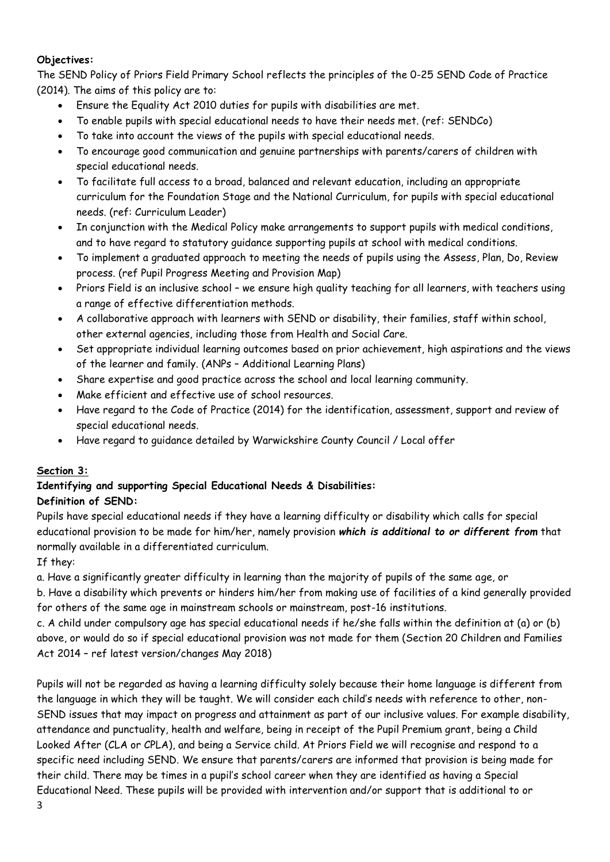# **Objectives:**

The SEND Policy of Priors Field Primary School reflects the principles of the 0-25 SEND Code of Practice (2014). The aims of this policy are to:

- Ensure the Equality Act 2010 duties for pupils with disabilities are met.
- To enable pupils with special educational needs to have their needs met. (ref: SENDCo)
- To take into account the views of the pupils with special educational needs.
- To encourage good communication and genuine partnerships with parents/carers of children with special educational needs.
- To facilitate full access to a broad, balanced and relevant education, including an appropriate curriculum for the Foundation Stage and the National Curriculum, for pupils with special educational needs. (ref: Curriculum Leader)
- In conjunction with the Medical Policy make arrangements to support pupils with medical conditions, and to have regard to statutory guidance supporting pupils at school with medical conditions.
- To implement a graduated approach to meeting the needs of pupils using the Assess, Plan, Do, Review process. (ref Pupil Progress Meeting and Provision Map)
- Priors Field is an inclusive school we ensure high quality teaching for all learners, with teachers using a range of effective differentiation methods.
- A collaborative approach with learners with SEND or disability, their families, staff within school, other external agencies, including those from Health and Social Care.
- Set appropriate individual learning outcomes based on prior achievement, high aspirations and the views of the learner and family. (ANPs – Additional Learning Plans)
- Share expertise and good practice across the school and local learning community.
- Make efficient and effective use of school resources.
- Have regard to the Code of Practice (2014) for the identification, assessment, support and review of special educational needs.
- Have regard to guidance detailed by Warwickshire County Council / Local offer

# **Section 3:**

#### **Identifying and supporting Special Educational Needs & Disabilities: Definition of SEND:**

Pupils have special educational needs if they have a learning difficulty or disability which calls for special educational provision to be made for him/her, namely provision *which is additional to or different from* that normally available in a differentiated curriculum.

# If they:

a. Have a significantly greater difficulty in learning than the majority of pupils of the same age, or

b. Have a disability which prevents or hinders him/her from making use of facilities of a kind generally provided for others of the same age in mainstream schools or mainstream, post-16 institutions.

c. A child under compulsory age has special educational needs if he/she falls within the definition at (a) or (b) above, or would do so if special educational provision was not made for them (Section 20 Children and Families Act 2014 – ref latest version/changes May 2018)

Pupils will not be regarded as having a learning difficulty solely because their home language is different from the language in which they will be taught. We will consider each child's needs with reference to other, non-SEND issues that may impact on progress and attainment as part of our inclusive values. For example disability, attendance and punctuality, health and welfare, being in receipt of the Pupil Premium grant, being a Child Looked After (CLA or CPLA), and being a Service child. At Priors Field we will recognise and respond to a specific need including SEND. We ensure that parents/carers are informed that provision is being made for their child. There may be times in a pupil's school career when they are identified as having a Special Educational Need. These pupils will be provided with intervention and/or support that is additional to or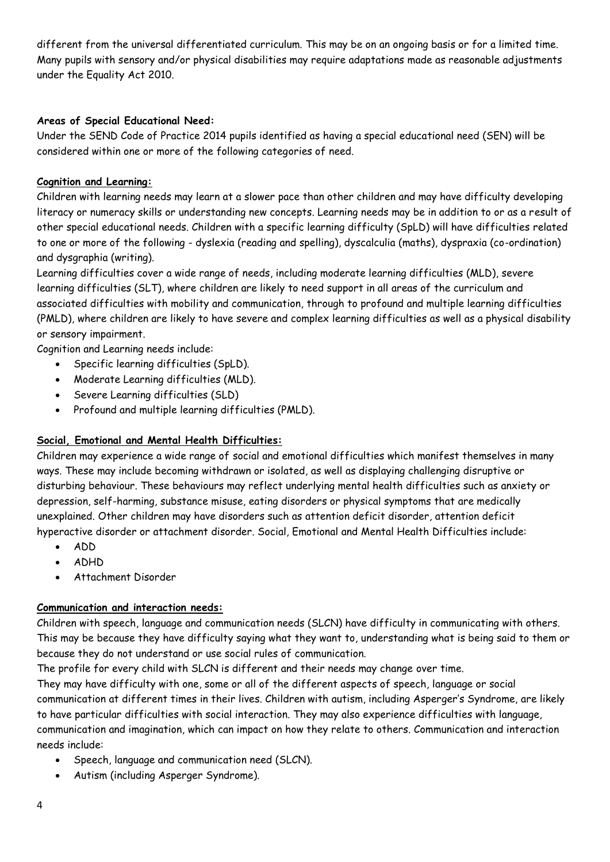different from the universal differentiated curriculum. This may be on an ongoing basis or for a limited time. Many pupils with sensory and/or physical disabilities may require adaptations made as reasonable adjustments under the Equality Act 2010.

## **Areas of Special Educational Need:**

Under the SEND Code of Practice 2014 pupils identified as having a special educational need (SEN) will be considered within one or more of the following categories of need.

## **Cognition and Learning:**

Children with learning needs may learn at a slower pace than other children and may have difficulty developing literacy or numeracy skills or understanding new concepts. Learning needs may be in addition to or as a result of other special educational needs. Children with a specific learning difficulty (SpLD) will have difficulties related to one or more of the following - dyslexia (reading and spelling), dyscalculia (maths), dyspraxia (co-ordination) and dysgraphia (writing).

Learning difficulties cover a wide range of needs, including moderate learning difficulties (MLD), severe learning difficulties (SLT), where children are likely to need support in all areas of the curriculum and associated difficulties with mobility and communication, through to profound and multiple learning difficulties (PMLD), where children are likely to have severe and complex learning difficulties as well as a physical disability or sensory impairment.

Cognition and Learning needs include:

- Specific learning difficulties (SpLD).
- Moderate Learning difficulties (MLD).
- Severe Learning difficulties (SLD)
- Profound and multiple learning difficulties (PMLD).

### **Social, Emotional and Mental Health Difficulties:**

Children may experience a wide range of social and emotional difficulties which manifest themselves in many ways. These may include becoming withdrawn or isolated, as well as displaying challenging disruptive or disturbing behaviour. These behaviours may reflect underlying mental health difficulties such as anxiety or depression, self-harming, substance misuse, eating disorders or physical symptoms that are medically unexplained. Other children may have disorders such as attention deficit disorder, attention deficit hyperactive disorder or attachment disorder. Social, Emotional and Mental Health Difficulties include:

- ADD
- ADHD
- Attachment Disorder

### **Communication and interaction needs:**

Children with speech, language and communication needs (SLCN) have difficulty in communicating with others. This may be because they have difficulty saying what they want to, understanding what is being said to them or because they do not understand or use social rules of communication.

The profile for every child with SLCN is different and their needs may change over time.

They may have difficulty with one, some or all of the different aspects of speech, language or social communication at different times in their lives. Children with autism, including Asperger's Syndrome, are likely to have particular difficulties with social interaction. They may also experience difficulties with language, communication and imagination, which can impact on how they relate to others. Communication and interaction needs include:

- Speech, language and communication need (SLCN).
- Autism (including Asperger Syndrome).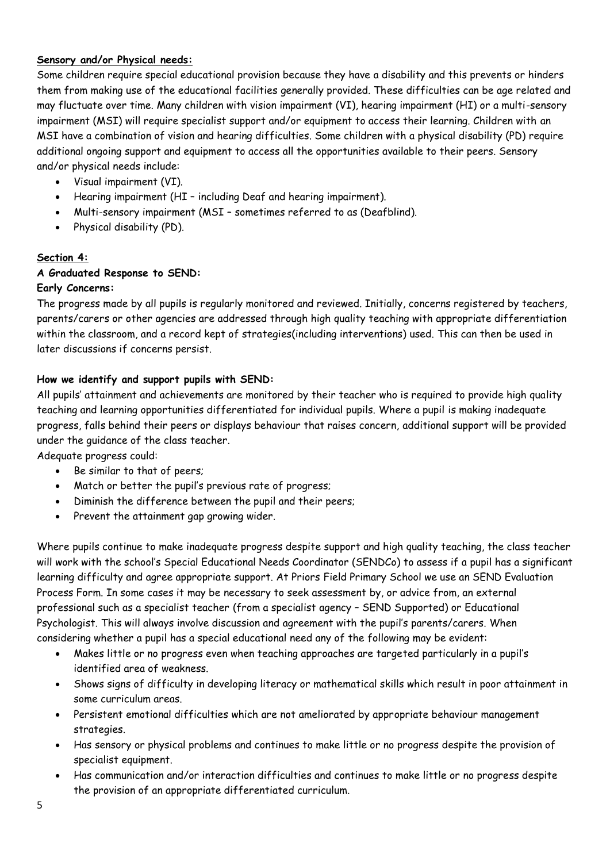## **Sensory and/or Physical needs:**

Some children require special educational provision because they have a disability and this prevents or hinders them from making use of the educational facilities generally provided. These difficulties can be age related and may fluctuate over time. Many children with vision impairment (VI), hearing impairment (HI) or a multi-sensory impairment (MSI) will require specialist support and/or equipment to access their learning. Children with an MSI have a combination of vision and hearing difficulties. Some children with a physical disability (PD) require additional ongoing support and equipment to access all the opportunities available to their peers. Sensory and/or physical needs include:

- Visual impairment (VI).
- Hearing impairment (HI including Deaf and hearing impairment).
- Multi-sensory impairment (MSI sometimes referred to as (Deafblind).
- Physical disability (PD).

## **Section 4:**

## **A Graduated Response to SEND:**

## **Early Concerns:**

The progress made by all pupils is regularly monitored and reviewed. Initially, concerns registered by teachers, parents/carers or other agencies are addressed through high quality teaching with appropriate differentiation within the classroom, and a record kept of strategies(including interventions) used. This can then be used in later discussions if concerns persist.

## **How we identify and support pupils with SEND:**

All pupils' attainment and achievements are monitored by their teacher who is required to provide high quality teaching and learning opportunities differentiated for individual pupils. Where a pupil is making inadequate progress, falls behind their peers or displays behaviour that raises concern, additional support will be provided under the guidance of the class teacher.

Adequate progress could:

- Be similar to that of peers;
- Match or better the pupil's previous rate of progress;
- Diminish the difference between the pupil and their peers;
- Prevent the attainment gap growing wider.

Where pupils continue to make inadequate progress despite support and high quality teaching, the class teacher will work with the school's Special Educational Needs Coordinator (SENDCo) to assess if a pupil has a significant learning difficulty and agree appropriate support. At Priors Field Primary School we use an SEND Evaluation Process Form. In some cases it may be necessary to seek assessment by, or advice from, an external professional such as a specialist teacher (from a specialist agency – SEND Supported) or Educational Psychologist. This will always involve discussion and agreement with the pupil's parents/carers. When considering whether a pupil has a special educational need any of the following may be evident:

- Makes little or no progress even when teaching approaches are targeted particularly in a pupil's identified area of weakness.
- Shows signs of difficulty in developing literacy or mathematical skills which result in poor attainment in some curriculum areas.
- Persistent emotional difficulties which are not ameliorated by appropriate behaviour management strategies.
- Has sensory or physical problems and continues to make little or no progress despite the provision of specialist equipment.
- Has communication and/or interaction difficulties and continues to make little or no progress despite the provision of an appropriate differentiated curriculum.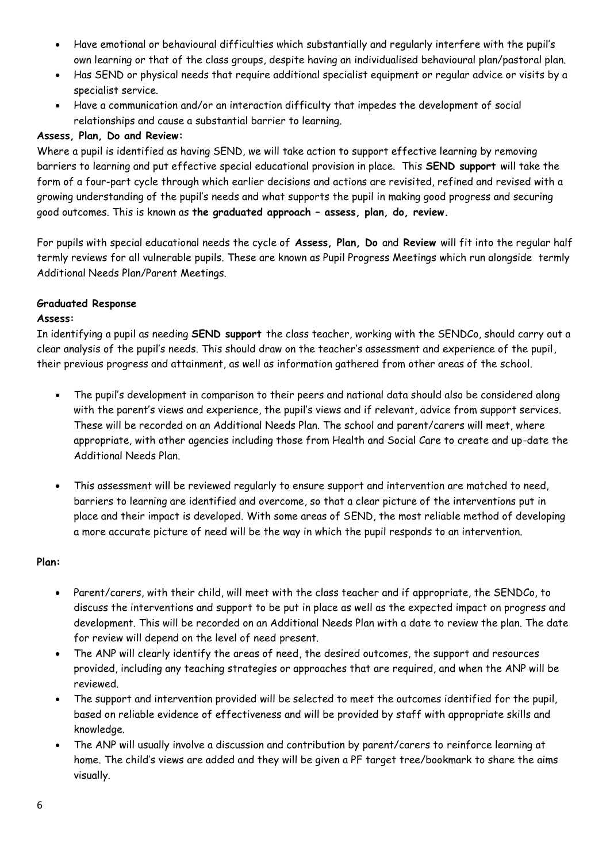- Have emotional or behavioural difficulties which substantially and regularly interfere with the pupil's own learning or that of the class groups, despite having an individualised behavioural plan/pastoral plan.
- Has SEND or physical needs that require additional specialist equipment or regular advice or visits by a specialist service.
- Have a communication and/or an interaction difficulty that impedes the development of social relationships and cause a substantial barrier to learning.

## **Assess, Plan, Do and Review:**

Where a pupil is identified as having SEND, we will take action to support effective learning by removing barriers to learning and put effective special educational provision in place. This **SEND support** will take the form of a four-part cycle through which earlier decisions and actions are revisited, refined and revised with a growing understanding of the pupil's needs and what supports the pupil in making good progress and securing good outcomes. This is known as **the graduated approach – assess, plan, do, review.**

For pupils with special educational needs the cycle of **Assess, Plan, Do** and **Review** will fit into the regular half termly reviews for all vulnerable pupils. These are known as Pupil Progress Meetings which run alongside termly Additional Needs Plan/Parent Meetings.

# **Graduated Response**

## **Assess:**

In identifying a pupil as needing **SEND support** the class teacher, working with the SENDCo, should carry out a clear analysis of the pupil's needs. This should draw on the teacher's assessment and experience of the pupil, their previous progress and attainment, as well as information gathered from other areas of the school.

- The pupil's development in comparison to their peers and national data should also be considered along with the parent's views and experience, the pupil's views and if relevant, advice from support services. These will be recorded on an Additional Needs Plan. The school and parent/carers will meet, where appropriate, with other agencies including those from Health and Social Care to create and up-date the Additional Needs Plan.
- This assessment will be reviewed regularly to ensure support and intervention are matched to need, barriers to learning are identified and overcome, so that a clear picture of the interventions put in place and their impact is developed. With some areas of SEND, the most reliable method of developing a more accurate picture of need will be the way in which the pupil responds to an intervention.

# **Plan:**

- Parent/carers, with their child, will meet with the class teacher and if appropriate, the SENDCo, to discuss the interventions and support to be put in place as well as the expected impact on progress and development. This will be recorded on an Additional Needs Plan with a date to review the plan. The date for review will depend on the level of need present.
- The ANP will clearly identify the areas of need, the desired outcomes, the support and resources provided, including any teaching strategies or approaches that are required, and when the ANP will be reviewed.
- The support and intervention provided will be selected to meet the outcomes identified for the pupil, based on reliable evidence of effectiveness and will be provided by staff with appropriate skills and knowledge.
- The ANP will usually involve a discussion and contribution by parent/carers to reinforce learning at home. The child's views are added and they will be given a PF target tree/bookmark to share the aims visually.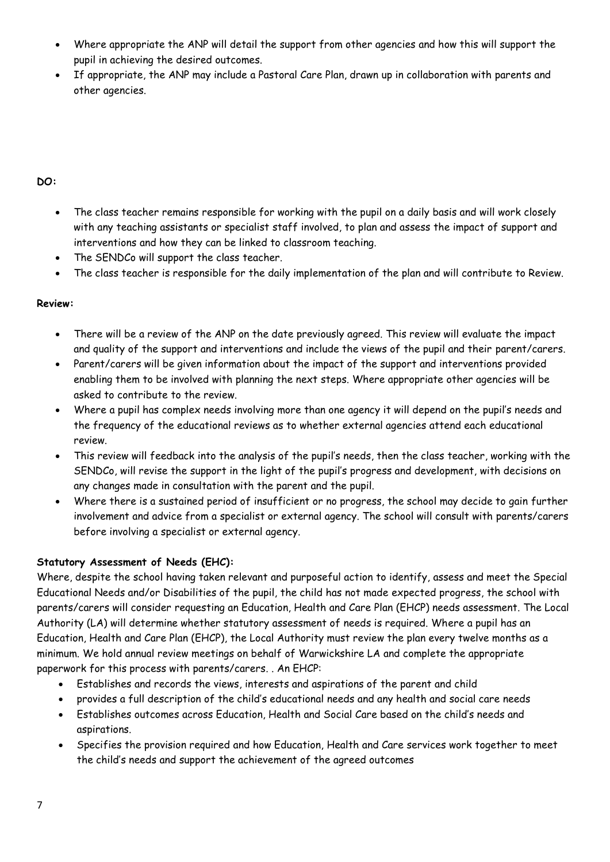- Where appropriate the ANP will detail the support from other agencies and how this will support the pupil in achieving the desired outcomes.
- If appropriate, the ANP may include a Pastoral Care Plan, drawn up in collaboration with parents and other agencies.

# **DO:**

- The class teacher remains responsible for working with the pupil on a daily basis and will work closely with any teaching assistants or specialist staff involved, to plan and assess the impact of support and interventions and how they can be linked to classroom teaching.
- The SENDCo will support the class teacher.
- The class teacher is responsible for the daily implementation of the plan and will contribute to Review.

## **Review:**

- There will be a review of the ANP on the date previously agreed. This review will evaluate the impact and quality of the support and interventions and include the views of the pupil and their parent/carers.
- Parent/carers will be given information about the impact of the support and interventions provided enabling them to be involved with planning the next steps. Where appropriate other agencies will be asked to contribute to the review.
- Where a pupil has complex needs involving more than one agency it will depend on the pupil's needs and the frequency of the educational reviews as to whether external agencies attend each educational review.
- This review will feedback into the analysis of the pupil's needs, then the class teacher, working with the SENDCo, will revise the support in the light of the pupil's progress and development, with decisions on any changes made in consultation with the parent and the pupil.
- Where there is a sustained period of insufficient or no progress, the school may decide to gain further involvement and advice from a specialist or external agency. The school will consult with parents/carers before involving a specialist or external agency.

# **Statutory Assessment of Needs (EHC):**

Where, despite the school having taken relevant and purposeful action to identify, assess and meet the Special Educational Needs and/or Disabilities of the pupil, the child has not made expected progress, the school with parents/carers will consider requesting an Education, Health and Care Plan (EHCP) needs assessment. The Local Authority (LA) will determine whether statutory assessment of needs is required. Where a pupil has an Education, Health and Care Plan (EHCP), the Local Authority must review the plan every twelve months as a minimum. We hold annual review meetings on behalf of Warwickshire LA and complete the appropriate paperwork for this process with parents/carers. . An EHCP:

- Establishes and records the views, interests and aspirations of the parent and child
- provides a full description of the child's educational needs and any health and social care needs
- Establishes outcomes across Education, Health and Social Care based on the child's needs and aspirations.
- Specifies the provision required and how Education, Health and Care services work together to meet the child's needs and support the achievement of the agreed outcomes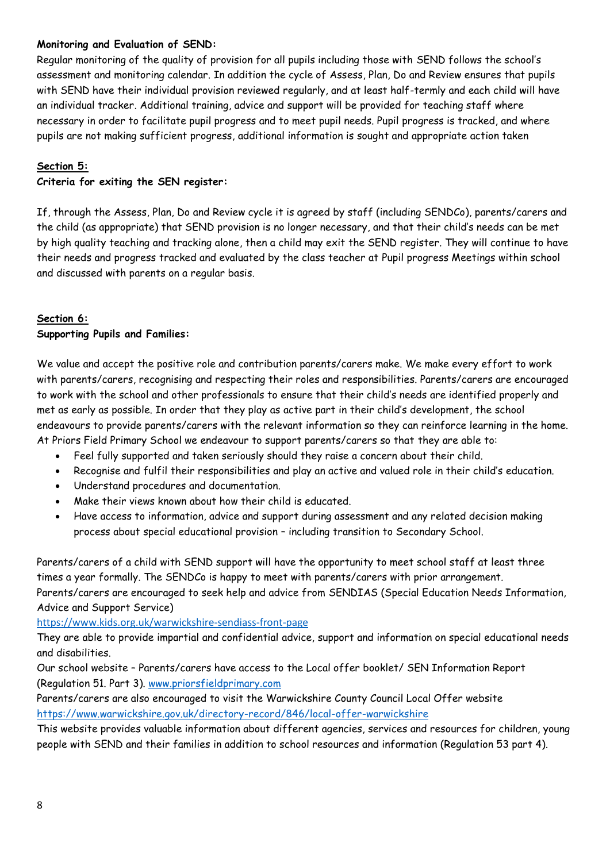## **Monitoring and Evaluation of SEND:**

Regular monitoring of the quality of provision for all pupils including those with SEND follows the school's assessment and monitoring calendar. In addition the cycle of Assess, Plan, Do and Review ensures that pupils with SEND have their individual provision reviewed regularly, and at least half-termly and each child will have an individual tracker. Additional training, advice and support will be provided for teaching staff where necessary in order to facilitate pupil progress and to meet pupil needs. Pupil progress is tracked, and where pupils are not making sufficient progress, additional information is sought and appropriate action taken

## **Section 5:**

## **Criteria for exiting the SEN register:**

If, through the Assess, Plan, Do and Review cycle it is agreed by staff (including SENDCo), parents/carers and the child (as appropriate) that SEND provision is no longer necessary, and that their child's needs can be met by high quality teaching and tracking alone, then a child may exit the SEND register. They will continue to have their needs and progress tracked and evaluated by the class teacher at Pupil progress Meetings within school and discussed with parents on a regular basis.

### **Section 6:**

### **Supporting Pupils and Families:**

We value and accept the positive role and contribution parents/carers make. We make every effort to work with parents/carers, recognising and respecting their roles and responsibilities. Parents/carers are encouraged to work with the school and other professionals to ensure that their child's needs are identified properly and met as early as possible. In order that they play as active part in their child's development, the school endeavours to provide parents/carers with the relevant information so they can reinforce learning in the home. At Priors Field Primary School we endeavour to support parents/carers so that they are able to:

- Feel fully supported and taken seriously should they raise a concern about their child.
- Recognise and fulfil their responsibilities and play an active and valued role in their child's education.
- Understand procedures and documentation.
- Make their views known about how their child is educated.
- Have access to information, advice and support during assessment and any related decision making process about special educational provision – including transition to Secondary School.

Parents/carers of a child with SEND support will have the opportunity to meet school staff at least three times a year formally. The SENDCo is happy to meet with parents/carers with prior arrangement. Parents/carers are encouraged to seek help and advice from SENDIAS (Special Education Needs Information, Advice and Support Service)

<https://www.kids.org.uk/warwickshire-sendiass-front-page>

They are able to provide impartial and confidential advice, support and information on special educational needs and disabilities.

Our school website – Parents/carers have access to the Local offer booklet/ SEN Information Report (Regulation 51. Part 3). [www.priorsfieldprimary.com](about:blank)

Parents/carers are also encouraged to visit the Warwickshire County Council Local Offer website <https://www.warwickshire.gov.uk/directory-record/846/local-offer-warwickshire>

This website provides valuable information about different agencies, services and resources for children, young people with SEND and their families in addition to school resources and information (Regulation 53 part 4).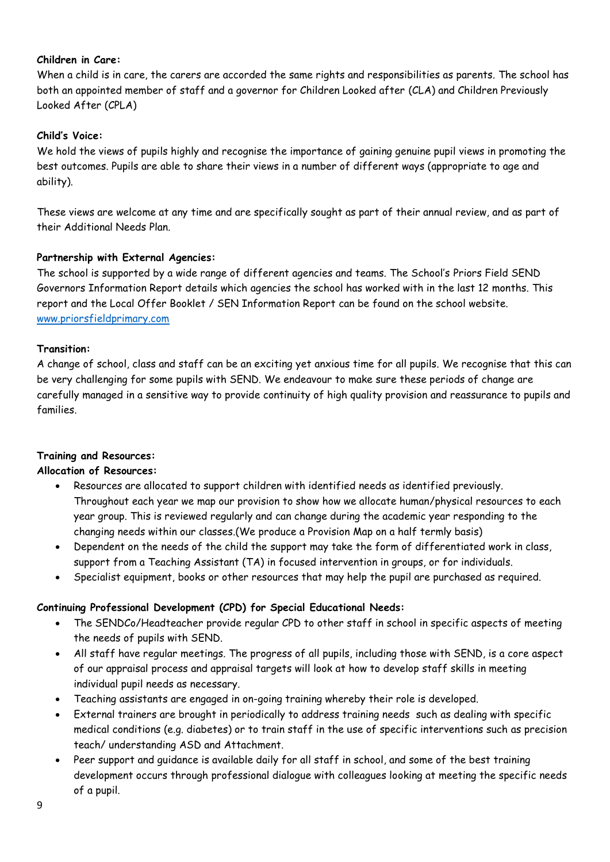## **Children in Care:**

When a child is in care, the carers are accorded the same rights and responsibilities as parents. The school has both an appointed member of staff and a governor for Children Looked after (CLA) and Children Previously Looked After (CPLA)

## **Child's Voice:**

We hold the views of pupils highly and recognise the importance of gaining genuine pupil views in promoting the best outcomes. Pupils are able to share their views in a number of different ways (appropriate to age and ability).

These views are welcome at any time and are specifically sought as part of their annual review, and as part of their Additional Needs Plan.

## **Partnership with External Agencies:**

The school is supported by a wide range of different agencies and teams. The School's Priors Field SEND Governors Information Report details which agencies the school has worked with in the last 12 months. This report and the Local Offer Booklet / SEN Information Report can be found on the school website. [www.priorsfieldprimary.com](about:blank)

### **Transition:**

A change of school, class and staff can be an exciting yet anxious time for all pupils. We recognise that this can be very challenging for some pupils with SEND. We endeavour to make sure these periods of change are carefully managed in a sensitive way to provide continuity of high quality provision and reassurance to pupils and families.

### **Training and Resources:**

### **Allocation of Resources:**

- Resources are allocated to support children with identified needs as identified previously. Throughout each year we map our provision to show how we allocate human/physical resources to each year group. This is reviewed regularly and can change during the academic year responding to the changing needs within our classes.(We produce a Provision Map on a half termly basis)
- Dependent on the needs of the child the support may take the form of differentiated work in class, support from a Teaching Assistant (TA) in focused intervention in groups, or for individuals.
- Specialist equipment, books or other resources that may help the pupil are purchased as required.

### **Continuing Professional Development (CPD) for Special Educational Needs:**

- The SENDCo/Headteacher provide regular CPD to other staff in school in specific aspects of meeting the needs of pupils with SEND.
- All staff have regular meetings. The progress of all pupils, including those with SEND, is a core aspect of our appraisal process and appraisal targets will look at how to develop staff skills in meeting individual pupil needs as necessary.
- Teaching assistants are engaged in on-going training whereby their role is developed.
- External trainers are brought in periodically to address training needs such as dealing with specific medical conditions (e.g. diabetes) or to train staff in the use of specific interventions such as precision teach/ understanding ASD and Attachment.
- Peer support and guidance is available daily for all staff in school, and some of the best training development occurs through professional dialogue with colleagues looking at meeting the specific needs of a pupil.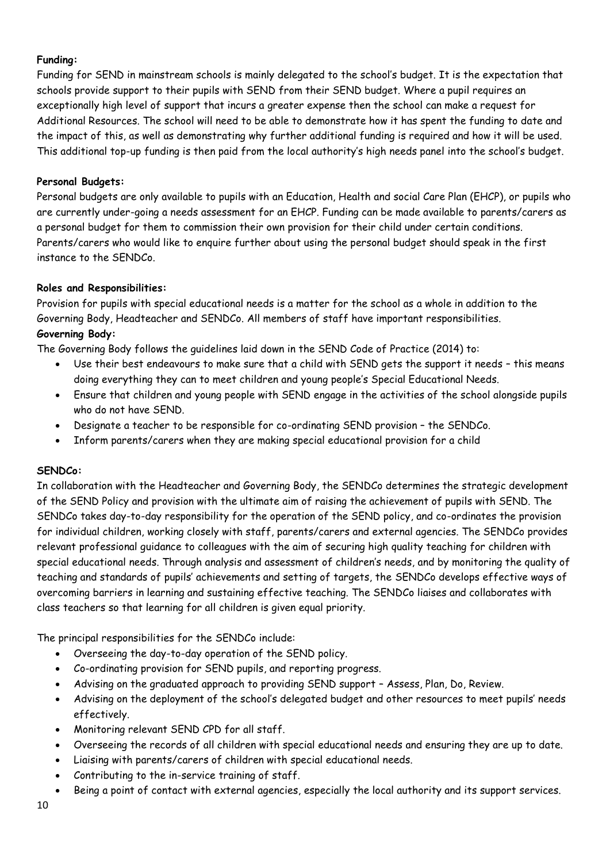# **Funding:**

Funding for SEND in mainstream schools is mainly delegated to the school's budget. It is the expectation that schools provide support to their pupils with SEND from their SEND budget. Where a pupil requires an exceptionally high level of support that incurs a greater expense then the school can make a request for Additional Resources. The school will need to be able to demonstrate how it has spent the funding to date and the impact of this, as well as demonstrating why further additional funding is required and how it will be used. This additional top-up funding is then paid from the local authority's high needs panel into the school's budget.

## **Personal Budgets:**

Personal budgets are only available to pupils with an Education, Health and social Care Plan (EHCP), or pupils who are currently under-going a needs assessment for an EHCP. Funding can be made available to parents/carers as a personal budget for them to commission their own provision for their child under certain conditions. Parents/carers who would like to enquire further about using the personal budget should speak in the first instance to the SENDCo.

### **Roles and Responsibilities:**

Provision for pupils with special educational needs is a matter for the school as a whole in addition to the Governing Body, Headteacher and SENDCo. All members of staff have important responsibilities. **Governing Body:**

The Governing Body follows the guidelines laid down in the SEND Code of Practice (2014) to:

- Use their best endeavours to make sure that a child with SEND gets the support it needs this means doing everything they can to meet children and young people's Special Educational Needs.
- Ensure that children and young people with SEND engage in the activities of the school alongside pupils who do not have SEND.
- Designate a teacher to be responsible for co-ordinating SEND provision the SENDCo.
- Inform parents/carers when they are making special educational provision for a child

### **SENDCo:**

In collaboration with the Headteacher and Governing Body, the SENDCo determines the strategic development of the SEND Policy and provision with the ultimate aim of raising the achievement of pupils with SEND. The SENDCo takes day-to-day responsibility for the operation of the SEND policy, and co-ordinates the provision for individual children, working closely with staff, parents/carers and external agencies. The SENDCo provides relevant professional guidance to colleagues with the aim of securing high quality teaching for children with special educational needs. Through analysis and assessment of children's needs, and by monitoring the quality of teaching and standards of pupils' achievements and setting of targets, the SENDCo develops effective ways of overcoming barriers in learning and sustaining effective teaching. The SENDCo liaises and collaborates with class teachers so that learning for all children is given equal priority.

The principal responsibilities for the SENDCo include:

- Overseeing the day-to-day operation of the SEND policy.
- Co-ordinating provision for SEND pupils, and reporting progress.
- Advising on the graduated approach to providing SEND support Assess, Plan, Do, Review.
- Advising on the deployment of the school's delegated budget and other resources to meet pupils' needs effectively.
- Monitoring relevant SEND CPD for all staff.
- Overseeing the records of all children with special educational needs and ensuring they are up to date.
- Liaising with parents/carers of children with special educational needs.
- Contributing to the in-service training of staff.
- Being a point of contact with external agencies, especially the local authority and its support services.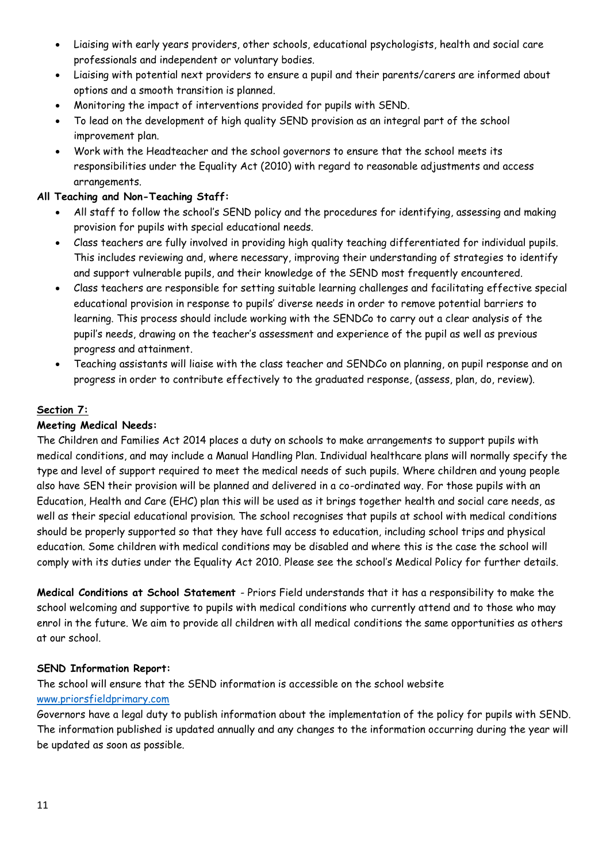- Liaising with early years providers, other schools, educational psychologists, health and social care professionals and independent or voluntary bodies.
- Liaising with potential next providers to ensure a pupil and their parents/carers are informed about options and a smooth transition is planned.
- Monitoring the impact of interventions provided for pupils with SEND.
- To lead on the development of high quality SEND provision as an integral part of the school improvement plan.
- Work with the Headteacher and the school governors to ensure that the school meets its responsibilities under the Equality Act (2010) with regard to reasonable adjustments and access arrangements.

# **All Teaching and Non-Teaching Staff:**

- All staff to follow the school's SEND policy and the procedures for identifying, assessing and making provision for pupils with special educational needs.
- Class teachers are fully involved in providing high quality teaching differentiated for individual pupils. This includes reviewing and, where necessary, improving their understanding of strategies to identify and support vulnerable pupils, and their knowledge of the SEND most frequently encountered.
- Class teachers are responsible for setting suitable learning challenges and facilitating effective special educational provision in response to pupils' diverse needs in order to remove potential barriers to learning. This process should include working with the SENDCo to carry out a clear analysis of the pupil's needs, drawing on the teacher's assessment and experience of the pupil as well as previous progress and attainment.
- Teaching assistants will liaise with the class teacher and SENDCo on planning, on pupil response and on progress in order to contribute effectively to the graduated response, (assess, plan, do, review).

# **Section 7:**

# **Meeting Medical Needs:**

The Children and Families Act 2014 places a duty on schools to make arrangements to support pupils with medical conditions, and may include a Manual Handling Plan. Individual healthcare plans will normally specify the type and level of support required to meet the medical needs of such pupils. Where children and young people also have SEN their provision will be planned and delivered in a co-ordinated way. For those pupils with an Education, Health and Care (EHC) plan this will be used as it brings together health and social care needs, as well as their special educational provision. The school recognises that pupils at school with medical conditions should be properly supported so that they have full access to education, including school trips and physical education. Some children with medical conditions may be disabled and where this is the case the school will comply with its duties under the Equality Act 2010. Please see the school's Medical Policy for further details.

**Medical Conditions at School Statement** - Priors Field understands that it has a responsibility to make the school welcoming and supportive to pupils with medical conditions who currently attend and to those who may enrol in the future. We aim to provide all children with all medical conditions the same opportunities as others at our school.

# **SEND Information Report:**

The school will ensure that the SEND information is accessible on the school website [www.priorsfieldprimary.com](about:blank)

Governors have a legal duty to publish information about the implementation of the policy for pupils with SEND. The information published is updated annually and any changes to the information occurring during the year will be updated as soon as possible.